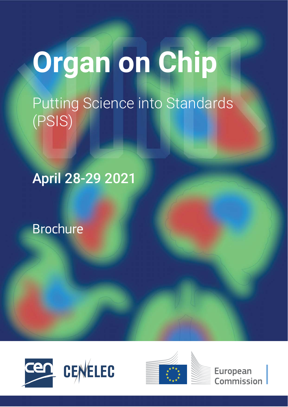# **Organ on Chip**

Putting Science into Standards (PSIS)

April 28-29 2021

Brochure







**European Commission**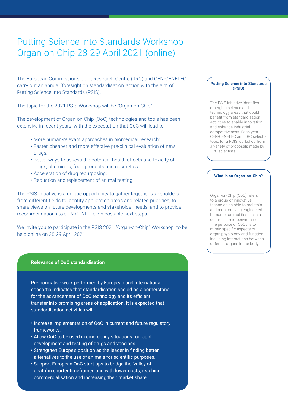# Putting Science into Standards Workshop Organ-on-Chip 28-29 April 2021 (online)

The European Commission's Joint Research Centre (JRC) and CEN-CENELEC carry out an annual 'foresight on standardisation' action with the aim of Putting Science into Standards (PSIS).

The topic for the 2021 PSIS Workshop will be "Organ-on-Chip".

The development of Organ-on-Chip (OoC) technologies and tools has been extensive in recent years, with the expectation that OoC will lead to:

- More human-relevant approaches in biomedical research;
- Faster, cheaper and more effective pre-clinical evaluation of new drugs;
- Better ways to assess the potential health effects and toxicity of drugs, chemicals, food products and cosmetics;
- Acceleration of drug repurposing;
- Reduction and replacement of animal testing.

The PSIS initiative is a unique opportunity to gather together stakeholders from different fields to identify application areas and related priorities, to share views on future developments and stakeholder needs, and to provide recommendations to CEN-CENELEC on possible next steps.

We invite you to participate in the PSIS 2021 "Organ-on-Chip" Workshop to be held online on 28-29 April 2021.

## **Relevance of OoC standardisation**

Pre-normative work performed by European and international consortia indicates that standardisation should be a cornerstone for the advancement of OoC technology and its efficient transfer into promising areas of application. It is expected that standardisation activities will:

- Increase implementation of OoC in current and future regulatory frameworks.
- Allow OoC to be used in emergency situations for rapid development and testing of drugs and vaccines.
- Strengthen Europe's position as the leader in finding better alternatives to the use of animals for scientific purposes.
- Support European OoC start-ups to bridge the 'valley of death' in shorter timeframes and with lower costs, reaching commercialisation and increasing their market share.

## **Putting Science into Standards (PSIS)**

The PSIS initiative identifies emerging science and technology areas that could benefit from standardisation activities to enable innovation and enhance industrial competitiveness. Each year CEN-CENELEC and JRC select a topic for a PSIS workshop from a variety of proposals made by JRC scientists.

### **What is an Organ-on-Chip?**

Organ-on-Chip (OoC) refers to a group of innovative technologies able to maintain and monitor living engineered human or animal tissues in a controlled microenvironment. The purpose of OoCs is to mimic specific aspects of organ physiology and function, including interactions between different organs in the body.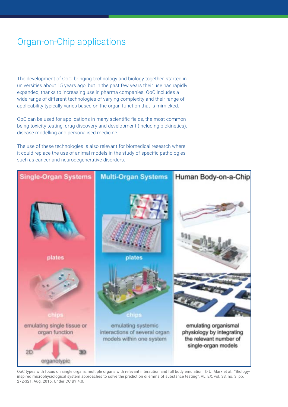# Organ-on-Chip applications

The development of OoC, bringing technology and biology together, started in universities about 15 years ago, but in the past few years their use has rapidly expanded, thanks to increasing use in pharma companies. OoC includes a wide range of different technologies of varying complexity and their range of applicability typically varies based on the organ function that is mimicked.

OoC can be used for applications in many scientific fields, the most common being toxicity testing, drug discovery and development (including biokinetics), disease modelling and personalised medicine.

The use of these technologies is also relevant for biomedical research where it could replace the use of animal models in the study of specific pathologies such as cancer and neurodegenerative disorders.



OoC types with focus on single organs, multiple organs with relevant interaction and full body emulation. © U. Marx et al., "Biologyinspired microphysiological system approaches to solve the prediction dilemma of substance testing", ALTEX, vol. 33, no. 3, pp. 272-321, Aug. 2016. Under CC BY 4.0.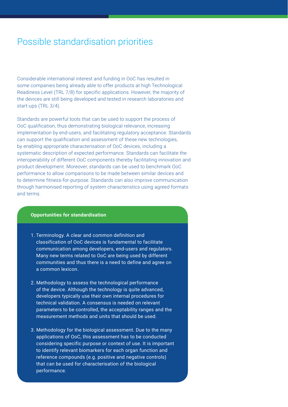## Possible standardisation priorities

Considerable international interest and funding in OoC has resulted in some companies being already able to offer products at high Technological Readiness Level (TRL 7/8) for specific applications. However, the majority of the devices are still being developed and tested in research laboratories and start-ups (TRL 3/4).

Standards are powerful tools that can be used to support the process of OoC qualification, thus demonstrating biological relevance, increasing implementation by end-users, and facilitating regulatory acceptance. Standards can support the qualification and assessment of these new technologies, by enabling appropriate characterisation of OoC devices, including a systematic description of expected performance. Standards can facilitate the interoperability of different OoC components thereby facilitating innovation and product development. Moreover, standards can be used to benchmark OoC performance to allow comparisons to be made between similar devices and to determine fitness-for-purpose. Standards can also improve communication through harmonised reporting of system characteristics using agreed formats and terms.

## **Opportunities for standardisation**

- 1. Terminology. A clear and common definition and classification of OoC devices is fundamental to facilitate communication among developers, end-users and regulators. Many new terms related to OoC are being used by different communities and thus there is a need to define and agree on a common lexicon.
- 2. Methodology to assess the technological performance of the device. Although the technology is quite advanced, developers typically use their own internal procedures for technical validation. A consensus is needed on relevant parameters to be controlled, the acceptability ranges and the measurement methods and units that should be used.
- 3. Methodology for the biological assessment. Due to the many applications of OoC, this assessment has to be conducted considering specific purpose or context of use. It is important to identify relevant biomarkers for each organ function and reference compounds (e.g. positive and negative controls) that can be used for characterisation of the biological performance.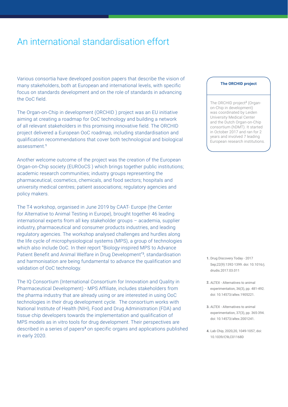# An international standardisation effort

Various consortia have developed position papers that describe the vision of many stakeholders, both at European and international levels, with specific focus on standards development and on the role of standards in advancing the OoC field.

The Organ-on-Chip in development (ORCHID ) project was an EU initiative aiming at creating a roadmap for OoC technology and building a network of all relevant stakeholders in this promising innovative field. The ORCHID project delivered a European OoC roadmap, including standardisation and qualification recommendations that cover both technological and biological assessment.<sup>1</sup>

Another welcome outcome of the project was the creation of the European Organ-on-Chip society (EUROoCS ) which brings together public institutions; academic research communities; industry groups representing the pharmaceutical, cosmetics, chemicals, and food sectors; hospitals and university medical centres; patient associations; regulatory agencies and policy makers.

The T4 workshop, organised in June 2019 by CAAT- Europe (the Center for Alternative to Animal Testing in Europe), brought together 46 leading international experts from all key stakeholder groups – academia, supplier industry, pharmaceutical and consumer products industries, and leading regulatory agencies. The workshop analysed challenges and hurdles along the life cycle of microphysiological systems (MPS), a group of technologies which also include OoC. In their report "Biology-inspired MPS to Advance Patient Benefit and Animal Welfare in Drug Development"<sup>3</sup>, standardisation and harmonisation are being fundamental to advance the qualification and validation of OoC technology.

The IQ Consortium (International Consortium for Innovation and Quality in Pharmaceutical Development) - MPS Affiliate, includes stakeholders from the pharma industry that are already using or are interested in using OoC technologies in their drug development cycle. The consortium works with National Institute of Health (NIH), Food and Drug Administration (FDA) and tissue chip developers towards the implementation and qualification of MPS models as in vitro tools for drug development. Their perspectives are described in a series of papers<sup>3</sup> on specific organs and applications published in early 2020.

#### **The ORCHID project**

The ORCHID project<sup>2</sup> (Organon-Chip in development) was coordinated by Leiden University Medical Center and the Dutch Organ-on-Chip consortium (hDMT). It started in October 2017 and ran for 2 years and involved 7 leading European research institutions.

- **1.** Drug Discovery Today 2017 Sep;22(9):1392-1399. doi: 10.1016/j. drudis.2017.03.011
- **2.** ALTEX Alternatives to animal experimentation, 36(3), pp. 481-492. doi: 10.14573/altex.1905221.
- **3.** ALTEX Alternatives to animal experimentation, 37(3), pp. 365-394. doi: 10.14573/altex.2001241.
- **4.** Lab Chip, 2020,20, 1049-1057, doi: 10.1039/C9LC01168D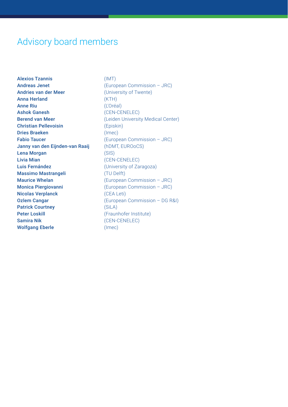# Advisory board members

Alexios Tzannis (IMT) Andreas Jenet (European Commission – JRC) Andries van der Meer (University of Twente) Anna Herland (KTH) Anne Riu (L'Oréal) Ashok Ganesh (CEN-CENELEC) Berend van Meer (Leiden University Medical Center) Christian Pellevoisin (Episkin) Dries Braeken (Imec) Fabio Taucer (European Commission – JRC) Janny van den Eijnden-van Raaij (hDMT, EUROoCS) Lena Morgan (SIS) Livia Mian (CEN-CENELEC) Luis Fernández (University of Zaragoza) Massimo Mastrangeli (TU Delft) Maurice Whelan (European Commission – JRC) Monica Piergiovanni (European Commission – JRC) Nicolas Verplanck (CEA Leti) **Ozlem Cangar** (European Commission – DG R&I) Patrick Courtney (SiLA) Peter Loskill **Peter Loskill Contract Contract Contract Contract Contract Contract Contract Contract Contract Contract Contract Contract Contract Contract Contract Contract Contract Contract Contract Contract Contract Co** Samira Nik (CEN-CENELEC) Wolfgang Eberle (Imec)